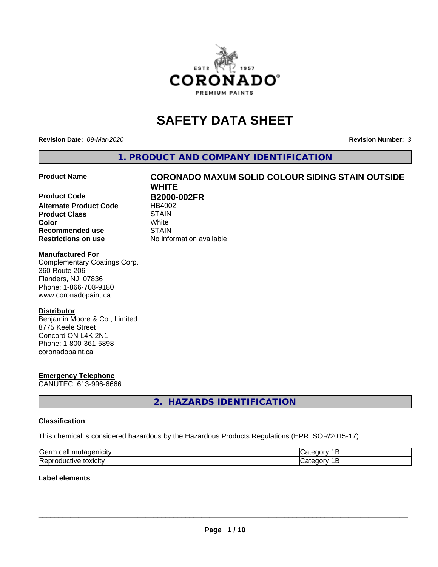

# **SAFETY DATA SHEET**

**Revision Date:** *09-Mar-2020* **Revision Number:** *3*

**1. PRODUCT AND COMPANY IDENTIFICATION**

**Product Code B2000-002FR Alternate Product Code** HB4002 **Product Class** STAIN<br> **Color** White **Recommended use STAIN Restrictions on use** No information available

# **Product Name CORONADO MAXUM SOLID COLOUR SIDING STAIN OUTSIDE WHITE Color** White

#### **Manufactured For**

Complementary Coatings Corp. 360 Route 206 Flanders, NJ 07836 Phone: 1-866-708-9180 www.coronadopaint.ca

### **Distributor**

Benjamin Moore & Co., Limited 8775 Keele Street Concord ON L4K 2N1 Phone: 1-800-361-5898 coronadopaint.ca

# **Emergency Telephone**

CANUTEC: 613-996-6666

# **2. HAZARDS IDENTIFICATION**

### **Classification**

This chemical is considered hazardous by the Hazardous Products Regulations (HPR: SOR/2015-17)

| <b>Serr</b><br>--- |  |
|--------------------|--|
| Rep<br>\JARJI.     |  |

### **Label elements**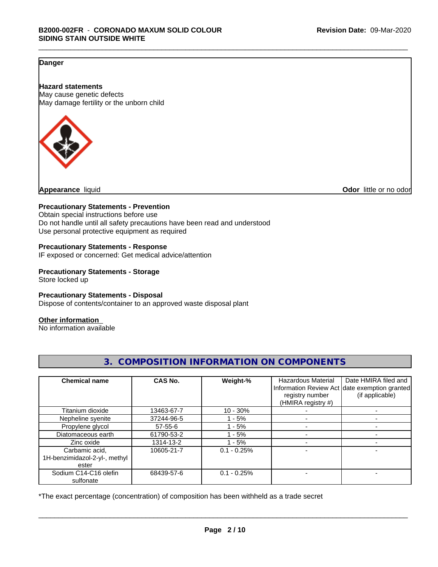### **Danger**

**Hazard statements** May cause genetic defects May damage fertility or the unborn child



**Appearance** liquid **Odor 11** and **Odor 11** and **Odor 11** and **Odor 11** and **Odor Odor 1** and **Odor 1** and **Odor 1** and **Odor 1** and **Odor 1** and **1** and **1** and **1** and **1** and **1** and **1** and **1** and **1** and

#### **Precautionary Statements - Prevention**

Obtain special instructions before use Do not handle until all safety precautions have been read and understood Use personal protective equipment as required

#### **Precautionary Statements - Response**

IF exposed or concerned: Get medical advice/attention

### **Precautionary Statements - Storage**

Store locked up

#### **Precautionary Statements - Disposal**

Dispose of contents/container to an approved waste disposal plant

#### **Other information**

No information available

| <b>Chemical name</b>                                     | CAS No.       | Weight-%      | <b>Hazardous Material</b><br>registry number<br>(HMIRA registry #) | Date HMIRA filed and<br>Information Review Act date exemption granted<br>(if applicable) |
|----------------------------------------------------------|---------------|---------------|--------------------------------------------------------------------|------------------------------------------------------------------------------------------|
| Titanium dioxide                                         | 13463-67-7    | $10 - 30%$    |                                                                    |                                                                                          |
| Nepheline syenite                                        | 37244-96-5    | - 5%          |                                                                    |                                                                                          |
| Propylene glycol                                         | $57 - 55 - 6$ | - 5%          |                                                                    |                                                                                          |
| Diatomaceous earth                                       | 61790-53-2    | - 5%          |                                                                    |                                                                                          |
| Zinc oxide                                               | 1314-13-2     | - 5%          |                                                                    |                                                                                          |
| Carbamic acid,<br>1H-benzimidazol-2-yl-, methyl<br>ester | 10605-21-7    | $0.1 - 0.25%$ |                                                                    |                                                                                          |
| Sodium C14-C16 olefin<br>sulfonate                       | 68439-57-6    | $0.1 - 0.25%$ |                                                                    |                                                                                          |

**3. COMPOSITION INFORMATION ON COMPONENTS**

\*The exact percentage (concentration) of composition has been withheld as a trade secret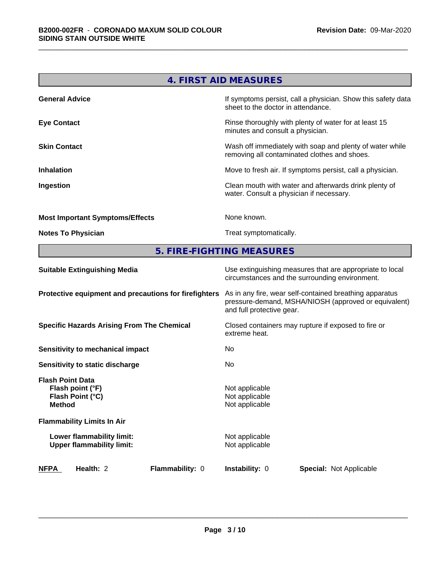| 4. FIRST AID MEASURES                  |                                                                                                          |  |  |  |
|----------------------------------------|----------------------------------------------------------------------------------------------------------|--|--|--|
| <b>General Advice</b>                  | If symptoms persist, call a physician. Show this safety data<br>sheet to the doctor in attendance.       |  |  |  |
| <b>Eye Contact</b>                     | Rinse thoroughly with plenty of water for at least 15<br>minutes and consult a physician.                |  |  |  |
| <b>Skin Contact</b>                    | Wash off immediately with soap and plenty of water while<br>removing all contaminated clothes and shoes. |  |  |  |
| <b>Inhalation</b>                      | Move to fresh air. If symptoms persist, call a physician.                                                |  |  |  |
| Ingestion                              | Clean mouth with water and afterwards drink plenty of<br>water. Consult a physician if necessary.        |  |  |  |
| <b>Most Important Symptoms/Effects</b> | None known.                                                                                              |  |  |  |
| <b>Notes To Physician</b>              | Treat symptomatically.                                                                                   |  |  |  |

**5. FIRE-FIGHTING MEASURES**

| <b>Suitable Extinguishing Media</b>                                              | Use extinguishing measures that are appropriate to local<br>circumstances and the surrounding environment.                                   |  |  |  |
|----------------------------------------------------------------------------------|----------------------------------------------------------------------------------------------------------------------------------------------|--|--|--|
| Protective equipment and precautions for firefighters                            | As in any fire, wear self-contained breathing apparatus<br>pressure-demand, MSHA/NIOSH (approved or equivalent)<br>and full protective gear. |  |  |  |
| <b>Specific Hazards Arising From The Chemical</b>                                | Closed containers may rupture if exposed to fire or<br>extreme heat.                                                                         |  |  |  |
| Sensitivity to mechanical impact                                                 | No.                                                                                                                                          |  |  |  |
| Sensitivity to static discharge                                                  | No.                                                                                                                                          |  |  |  |
| <b>Flash Point Data</b><br>Flash point (°F)<br>Flash Point (°C)<br><b>Method</b> | Not applicable<br>Not applicable<br>Not applicable                                                                                           |  |  |  |
| <b>Flammability Limits In Air</b>                                                |                                                                                                                                              |  |  |  |
| Lower flammability limit:<br><b>Upper flammability limit:</b>                    | Not applicable<br>Not applicable                                                                                                             |  |  |  |
| <b>NFPA</b><br>Health: 2<br><b>Flammability: 0</b>                               | <b>Instability: 0</b><br><b>Special:</b> Not Applicable                                                                                      |  |  |  |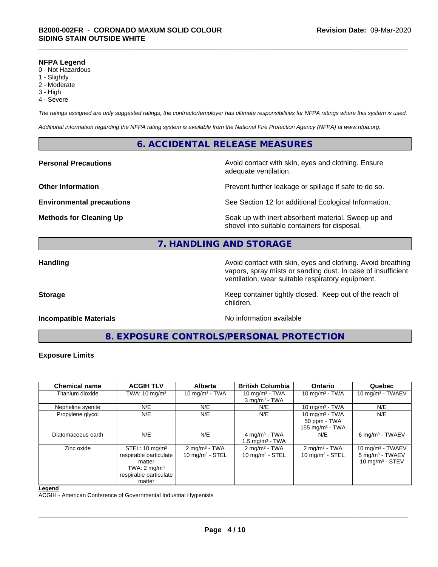#### **NFPA Legend**

- 0 Not Hazardous
- 1 Slightly
- 2 Moderate
- 3 High
- 4 Severe

*The ratings assigned are only suggested ratings, the contractor/employer has ultimate responsibilities for NFPA ratings where this system is used.*

*Additional information regarding the NFPA rating system is available from the National Fire Protection Agency (NFPA) at www.nfpa.org.*

### **6. ACCIDENTAL RELEASE MEASURES**

**Personal Precautions Avoid contact with skin, eyes and clothing. Ensure** Avoid contact with skin, eyes and clothing. Ensure adequate ventilation.

**Other Information Determined Information Prevent further leakage or spillage if safe to do so.** 

**Environmental precautions** See Section 12 for additional Ecological Information.

**Methods for Cleaning Up Example 20 Soak** up with inert absorbent material. Sweep up and shovel into suitable containers for disposal.

# **7. HANDLING AND STORAGE**

**Handling Handling Avoid contact with skin, eyes and clothing. Avoid breathing H** vapors, spray mists or sanding dust. In case of insufficient ventilation, wear suitable respiratory equipment.

**Storage** Storage **Keep container tightly closed.** Keep out of the reach of

#### **Incompatible Materials Incompatible Materials No information available**

**8. EXPOSURE CONTROLS/PERSONAL PROTECTION**

children.

#### **Exposure Limits**

| <b>Chemical name</b> | <b>ACGIH TLV</b>                                                                                                             | <b>Alberta</b>                                         | <b>British Columbia</b>                                  | <b>Ontario</b>                                          | Quebec                                                                   |
|----------------------|------------------------------------------------------------------------------------------------------------------------------|--------------------------------------------------------|----------------------------------------------------------|---------------------------------------------------------|--------------------------------------------------------------------------|
| Titanium dioxide     | TWA: $10 \text{ mg/m}^3$                                                                                                     | 10 mg/m $3$ - TWA                                      | 10 mg/m $3$ - TWA<br>$3$ mg/m <sup>3</sup> - TWA         | 10 mg/m $3$ - TWA                                       | 10 mg/m $3$ - TWAEV                                                      |
| Nepheline syenite    | N/E                                                                                                                          | N/E                                                    | N/E                                                      | 10 mg/m $3$ - TWA                                       | N/E                                                                      |
| Propylene glycol     | N/E                                                                                                                          | N/E                                                    | N/E                                                      | 10 mg/m $3$ - TWA<br>50 ppm - TWA<br>155 mg/m $3$ - TWA | N/E                                                                      |
| Diatomaceous earth   | N/E                                                                                                                          | N/E                                                    | 4 mg/m <sup>3</sup> - TWA<br>1.5 mg/m <sup>3</sup> - TWA | N/E                                                     | 6 mg/m <sup>3</sup> - TWAEV                                              |
| Zinc oxide           | STEL: $10 \text{ mg/m}^3$<br>respirable particulate<br>matter<br>TWA: $2 \text{ mg/m}^3$<br>respirable particulate<br>matter | $2 \text{ mg/m}^3$ - TWA<br>$10 \text{ mg/m}^3$ - STEL | $2 \text{ mg/m}^3$ - TWA<br>$10 \text{ mg/m}^3$ - STEL   | $2 \text{ mg/m}^3$ - TWA<br>10 mg/m $3 -$ STEL          | 10 mg/m $3$ - TWAEV<br>5 mg/m <sup>3</sup> - TWAEV<br>10 mg/m $3 -$ STEV |

#### **Legend**

ACGIH - American Conference of Governmental Industrial Hygienists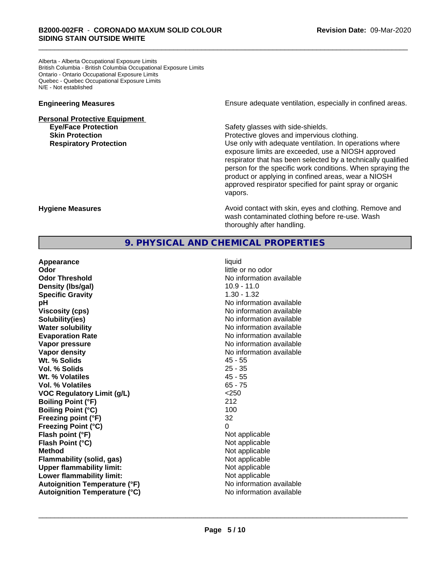Alberta - Alberta Occupational Exposure Limits British Columbia - British Columbia Occupational Exposure Limits Ontario - Ontario Occupational Exposure Limits Quebec - Quebec Occupational Exposure Limits N/E - Not established

# **Personal Protective Equipment**

**Skin Protection Protective gloves and impervious clothing.** 

**Engineering Measures Ensure** Ensure adequate ventilation, especially in confined areas.

**Eye/Face Protection Safety glasses with side-shields.** 

**Respiratory Protection Number 1** (Use only with adequate ventilation. In operations where exposure limits are exceeded, use a NIOSH approved respirator that has been selected by a technically qualified person for the specific work conditions. When spraying the product or applying in confined areas, wear a NIOSH approved respirator specified for paint spray or organic vapors.

**Hygiene Measures Avoid contact with skin, eyes and clothing. Remove and Hygiene Measures** and clothing. Remove and wash contaminated clothing before re-use. Wash thoroughly after handling.

### **9. PHYSICAL AND CHEMICAL PROPERTIES**

**Appearance** liquid **Odor Odor** little or no odor<br> **Odor Threshold Containery of the Containery of the Containery of the Containery of the Containery of the Containery of the Containery of the Containery of the Containery of the Container Density (lbs/gal)** 10.9 - 11.0 **Specific Gravity** 1.30 - 1.32 **pH** No information available **Viscosity (cps)** No information available **Solubility(ies)** No information available **Water solubility Water solubility Water solubility Water solubility Water solubility Water solution Evaporation Rate No information available No information available Vapor pressure** No information available in the North American Monte No. 1999. **Vapor density Vapor density No information available Wt. % Solids** 45 - 55 **Vol. % Solids** 25 - 35 **Wt. % Volatiles** 45 - 55 **Vol. % Volatiles** 65 - 75 **VOC Regulatory Limit (g/L)** <250 **Boiling Point (°F)** 212 **Boiling Point (°C)** 100 **Freezing point (°F)** 32 **Freezing Point (°C)** 0 **Flash point (°F)** Not applicable **Flash Point (°C)** Not applicable **Method** Not applicable **Flammability (solid, gas)** Not applicable **Upper flammability limit:** Not applicable **Lower flammability limit:** Not applicable **Autoignition Temperature (°F)** No information available **Autoignition Temperature (°C)** No information available

**No information available**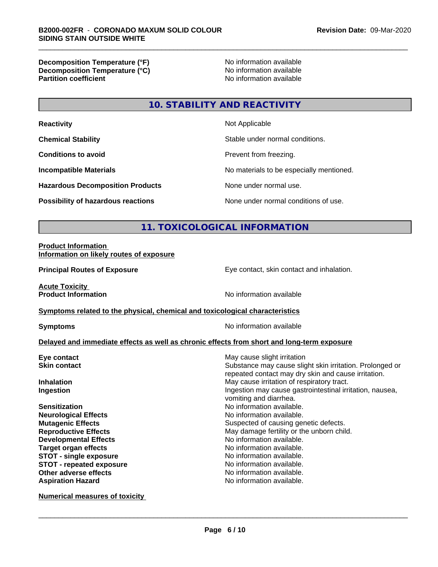**Decomposition Temperature (°F)**<br> **Decomposition Temperature (°C)** No information available **Decomposition Temperature (°C)**<br>Partition coefficient

**No information available** 

# **10. STABILITY AND REACTIVITY**

| <b>Reactivity</b>                         | Not Applicable                           |
|-------------------------------------------|------------------------------------------|
| <b>Chemical Stability</b>                 | Stable under normal conditions.          |
| <b>Conditions to avoid</b>                | Prevent from freezing.                   |
| <b>Incompatible Materials</b>             | No materials to be especially mentioned. |
| <b>Hazardous Decomposition Products</b>   | None under normal use.                   |
| <b>Possibility of hazardous reactions</b> | None under normal conditions of use.     |

# **11. TOXICOLOGICAL INFORMATION**

#### **Product Information Information on likely routes of exposure**

**Principal Routes of Exposure Exposure** Eye contact, skin contact and inhalation.

**Acute Toxicity<br>Product Information** 

**No information available** 

#### **Symptoms related to the physical, chemical and toxicological characteristics**

**Symptoms** No information available

### **Delayed and immediate effects as well as chronic effects from short and long-term exposure**

| Eye contact                   | May cause slight irritation                                                        |
|-------------------------------|------------------------------------------------------------------------------------|
| <b>Skin contact</b>           | Substance may cause slight skin irritation. Prolonged or                           |
|                               | repeated contact may dry skin and cause irritation.                                |
| <b>Inhalation</b>             | May cause irritation of respiratory tract.                                         |
| Ingestion                     | Ingestion may cause gastrointestinal irritation, nausea,<br>vomiting and diarrhea. |
| <b>Sensitization</b>          | No information available.                                                          |
| <b>Neurological Effects</b>   | No information available.                                                          |
| <b>Mutagenic Effects</b>      | Suspected of causing genetic defects.                                              |
| <b>Reproductive Effects</b>   | May damage fertility or the unborn child.                                          |
| <b>Developmental Effects</b>  | No information available.                                                          |
| <b>Target organ effects</b>   | No information available.                                                          |
| <b>STOT - single exposure</b> | No information available.                                                          |
| STOT - repeated exposure      | No information available.                                                          |
| Other adverse effects         | No information available.                                                          |
| <b>Aspiration Hazard</b>      | No information available.                                                          |
|                               |                                                                                    |

**Numerical measures of toxicity**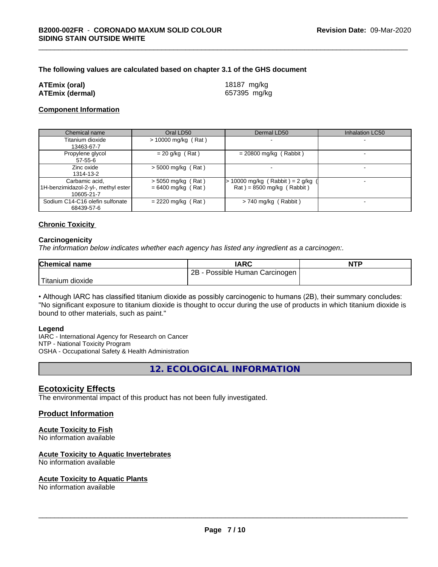#### **The following values are calculated based on chapter 3.1 of the GHS document**

| <b>ATEmix (oral)</b>   |  |
|------------------------|--|
| <b>ATEmix (dermal)</b> |  |

**ATEmix (oral)** 18187 mg/kg **ATEmix (dermal)** 657395 mg/kg

#### **Component Information**

| Chemical name                                                       | Oral LD50                                    | Dermal LD50                                                    | <b>Inhalation LC50</b> |
|---------------------------------------------------------------------|----------------------------------------------|----------------------------------------------------------------|------------------------|
| Titanium dioxide<br>13463-67-7                                      | $> 10000$ mg/kg (Rat)                        |                                                                |                        |
| Propylene glycol<br>57-55-6                                         | $= 20$ g/kg (Rat)                            | $= 20800$ mg/kg (Rabbit)                                       |                        |
| Zinc oxide<br>1314-13-2                                             | $>$ 5000 mg/kg (Rat)                         |                                                                |                        |
| Carbamic acid,<br>1H-benzimidazol-2-yl-, methyl ester<br>10605-21-7 | $>$ 5050 mg/kg (Rat)<br>$= 6400$ mg/kg (Rat) | 10000 mg/kg (Rabbit) = $2$ g/kg<br>$Rat$ = 8500 mg/kg (Rabbit) |                        |
| Sodium C14-C16 olefin sulfonate<br>68439-57-6                       | $= 2220$ mg/kg (Rat)                         | $> 740$ mg/kg (Rabbit)                                         |                        |

#### **Chronic Toxicity**

#### **Carcinogenicity**

*The information below indicateswhether each agency has listed any ingredient as a carcinogen:.*

| <b>Chemical name</b>      | <b>IARC</b>                     | <b>NTP</b> |
|---------------------------|---------------------------------|------------|
|                           | 2Β<br>Possible Human Carcinogen |            |
| ' Titanium 、<br>, dioxide |                                 |            |

• Although IARC has classified titanium dioxide as possibly carcinogenic to humans (2B), their summary concludes: "No significant exposure to titanium dioxide is thought to occur during the use of products in which titanium dioxide is bound to other materials, such as paint."

#### **Legend**

IARC - International Agency for Research on Cancer NTP - National Toxicity Program OSHA - Occupational Safety & Health Administration

**12. ECOLOGICAL INFORMATION**

#### **Ecotoxicity Effects**

The environmental impact of this product has not been fully investigated.

#### **Product Information**

#### **Acute Toxicity to Fish**

No information available

#### **Acute Toxicity to Aquatic Invertebrates**

No information available

#### **Acute Toxicity to Aquatic Plants**

No information available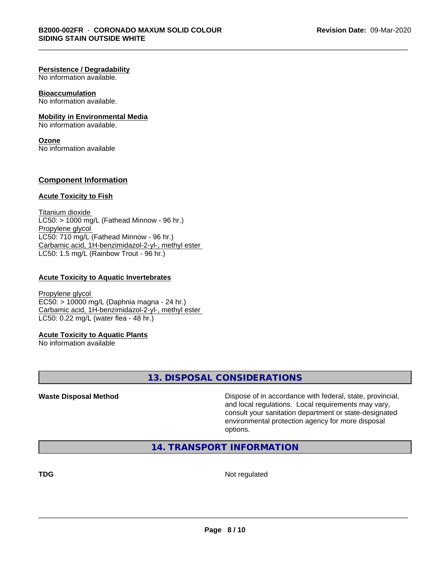#### **Persistence / Degradability**

No information available.

### **Bioaccumulation**

No information available.

#### **Mobility in Environmental Media**

No information available.

# **Ozone**

No information available

#### **Component Information**

#### **Acute Toxicity to Fish**

Titanium dioxide  $LCS0:$  > 1000 mg/L (Fathead Minnow - 96 hr.) Propylene glycol LC50: 710 mg/L (Fathead Minnow - 96 hr.) Carbamic acid, 1H-benzimidazol-2-yl-, methyl ester LC50: 1.5 mg/L (Rainbow Trout - 96 hr.)

#### **Acute Toxicity to Aquatic Invertebrates**

Propylene glycol EC50: > 10000 mg/L (Daphnia magna - 24 hr.) Carbamic acid, 1H-benzimidazol-2-yl-, methyl ester LC50: 0.22 mg/L (water flea - 48 hr.)

#### **Acute Toxicity to Aquatic Plants**

No information available

# **13. DISPOSAL CONSIDERATIONS**

**Waste Disposal Method Dispose of in accordance with federal, state, provincial,** and local regulations. Local requirements may vary, consult your sanitation department or state-designated environmental protection agency for more disposal options.

# **14. TRANSPORT INFORMATION**

**TDG** Not regulated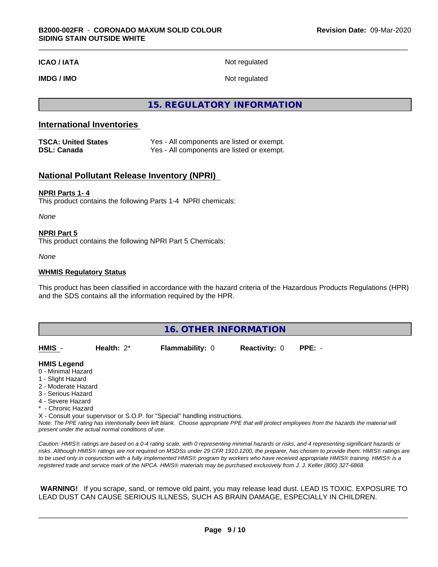#### **ICAO / IATA** Not regulated

**IMDG / IMO** Not regulated

**15. REGULATORY INFORMATION**

### **International Inventories**

| <b>TSCA: United States</b> | Yes - All components are listed or exempt. |
|----------------------------|--------------------------------------------|
| <b>DSL: Canada</b>         | Yes - All components are listed or exempt. |

## **National Pollutant Release Inventory (NPRI)**

#### **NPRI Parts 1- 4**

This product contains the following Parts 1-4 NPRI chemicals:

*None*

#### **NPRI Part 5**

This product contains the following NPRI Part 5 Chemicals:

*None*

#### **WHMIS Regulatory Status**

This product has been classified in accordance with the hazard criteria of the Hazardous Products Regulations (HPR) and the SDS contains all the information required by the HPR.

| 16. OTHER INFORMATION                                         |               |                        |                      |          |  |
|---------------------------------------------------------------|---------------|------------------------|----------------------|----------|--|
| HMIS -                                                        | Health: $2^*$ | <b>Flammability: 0</b> | <b>Reactivity: 0</b> | $PPE: -$ |  |
| <b>HMIS Legend</b><br>0 - Minimal Hazard<br>1 - Slight Hazard |               |                        |                      |          |  |

- 2 Moderate Hazard
- 3 Serious Hazard
- 4 Severe Hazard
- \* Chronic Hazard

X - Consult your supervisor or S.O.P. for "Special" handling instructions.

*Note: The PPE rating has intentionally been left blank. Choose appropriate PPE that will protect employees from the hazards the material will present under the actual normal conditions of use.*

*Caution: HMISÒ ratings are based on a 0-4 rating scale, with 0 representing minimal hazards or risks, and 4 representing significant hazards or risks. Although HMISÒ ratings are not required on MSDSs under 29 CFR 1910.1200, the preparer, has chosen to provide them. HMISÒ ratings are to be used only in conjunction with a fully implemented HMISÒ program by workers who have received appropriate HMISÒ training. HMISÒ is a registered trade and service mark of the NPCA. HMISÒ materials may be purchased exclusively from J. J. Keller (800) 327-6868.*

 **WARNING!** If you scrape, sand, or remove old paint, you may release lead dust. LEAD IS TOXIC. EXPOSURE TO LEAD DUST CAN CAUSE SERIOUS ILLNESS, SUCH AS BRAIN DAMAGE, ESPECIALLY IN CHILDREN.